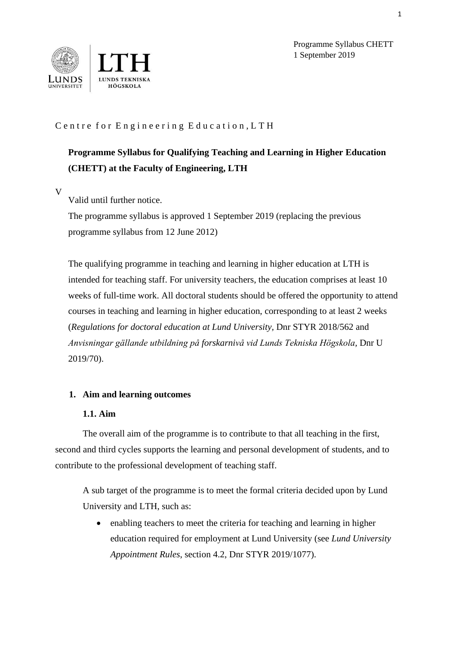

Programme Syllabus CHETT 1 September 2019

# Centre for Engineering Education, LTH

# **Programme Syllabus for Qualifying Teaching and Learning in Higher Education (CHETT) at the Faculty of Engineering, LTH**

V

Valid until further notice.

The programme syllabus is approved 1 September 2019 (replacing the previous programme syllabus from 12 June 2012)

The qualifying programme in teaching and learning in higher education at LTH is intended for teaching staff. For university teachers, the education comprises at least 10 weeks of full-time work. All doctoral students should be offered the opportunity to attend courses in teaching and learning in higher education, corresponding to at least 2 weeks (*Regulations for doctoral education at Lund University,* Dnr STYR 2018/562 and *Anvisningar gällande utbildning på forskarnivå vid Lunds Tekniska Högskola,* Dnr U 2019/70).

#### **1. Aim and learning outcomes**

#### **1.1. Aim**

The overall aim of the programme is to contribute to that all teaching in the first, second and third cycles supports the learning and personal development of students, and to contribute to the professional development of teaching staff.

A sub target of the programme is to meet the formal criteria decided upon by Lund University and LTH, such as:

• enabling teachers to meet the criteria for teaching and learning in higher education required for employment at Lund University (see *Lund University Appointment Rules*, section 4.2, Dnr STYR 2019/1077).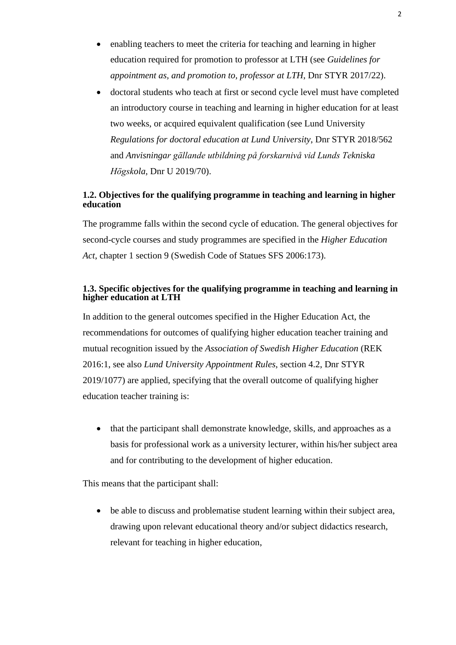- enabling teachers to meet the criteria for teaching and learning in higher education required for promotion to professor at LTH (see *Guidelines for appointment as, and promotion to, professor at LTH*, Dnr STYR 2017/22).
- doctoral students who teach at first or second cycle level must have completed an introductory course in teaching and learning in higher education for at least two weeks, or acquired equivalent qualification (see Lund University *Regulations for doctoral education at Lund University*, Dnr STYR 2018/562 and *Anvisningar gällande utbildning på forskarnivå vid Lunds Tekniska Högskola,* Dnr U 2019/70).

## **1.2. Objectives for the qualifying programme in teaching and learning in higher education**

The programme falls within the second cycle of education. The general objectives for second-cycle courses and study programmes are specified in the *Higher Education Act*, chapter 1 section 9 (Swedish Code of Statues SFS 2006:173).

### **1.3. Specific objectives for the qualifying programme in teaching and learning in higher education at LTH**

In addition to the general outcomes specified in the Higher Education Act, the recommendations for outcomes of qualifying higher education teacher training and mutual recognition issued by the *Association of Swedish Higher Education* (REK 2016:1, see also *Lund University Appointment Rules*, section 4.2, Dnr STYR 2019/1077) are applied, specifying that the overall outcome of qualifying higher education teacher training is:

• that the participant shall demonstrate knowledge, skills, and approaches as a basis for professional work as a university lecturer, within his/her subject area and for contributing to the development of higher education.

This means that the participant shall:

• be able to discuss and problematise student learning within their subject area, drawing upon relevant educational theory and/or subject didactics research, relevant for teaching in higher education,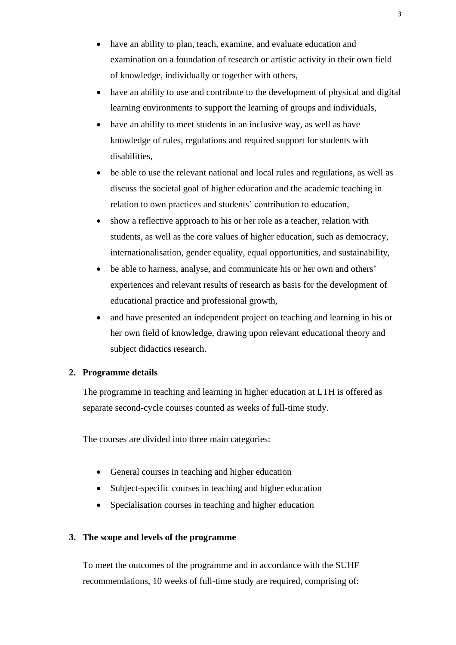- have an ability to plan, teach, examine, and evaluate education and examination on a foundation of research or artistic activity in their own field of knowledge, individually or together with others,
- have an ability to use and contribute to the development of physical and digital learning environments to support the learning of groups and individuals,
- have an ability to meet students in an inclusive way, as well as have knowledge of rules, regulations and required support for students with disabilities,
- be able to use the relevant national and local rules and regulations, as well as discuss the societal goal of higher education and the academic teaching in relation to own practices and students' contribution to education,
- show a reflective approach to his or her role as a teacher, relation with students, as well as the core values of higher education, such as democracy, internationalisation, gender equality, equal opportunities, and sustainability,
- be able to harness, analyse, and communicate his or her own and others' experiences and relevant results of research as basis for the development of educational practice and professional growth,
- and have presented an independent project on teaching and learning in his or her own field of knowledge, drawing upon relevant educational theory and subject didactics research.

## **2. Programme details**

The programme in teaching and learning in higher education at LTH is offered as separate second-cycle courses counted as weeks of full-time study.

The courses are divided into three main categories:

- General courses in teaching and higher education
- Subject-specific courses in teaching and higher education
- Specialisation courses in teaching and higher education

#### **3. The scope and levels of the programme**

To meet the outcomes of the programme and in accordance with the SUHF recommendations, 10 weeks of full-time study are required, comprising of: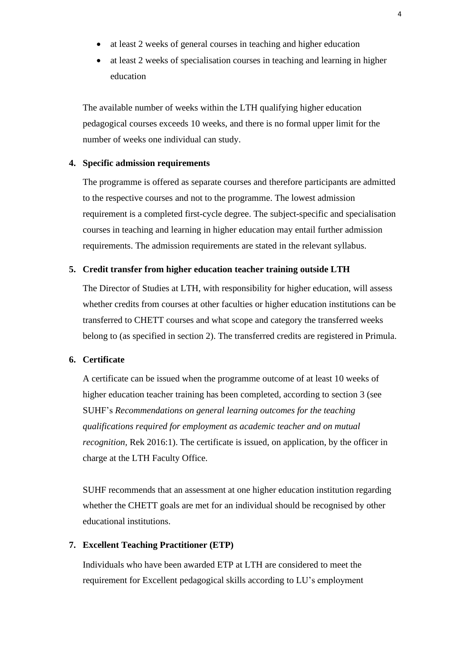- at least 2 weeks of general courses in teaching and higher education
- at least 2 weeks of specialisation courses in teaching and learning in higher education

The available number of weeks within the LTH qualifying higher education pedagogical courses exceeds 10 weeks, and there is no formal upper limit for the number of weeks one individual can study.

#### **4. Specific admission requirements**

The programme is offered as separate courses and therefore participants are admitted to the respective courses and not to the programme. The lowest admission requirement is a completed first-cycle degree. The subject-specific and specialisation courses in teaching and learning in higher education may entail further admission requirements. The admission requirements are stated in the relevant syllabus.

#### **5. Credit transfer from higher education teacher training outside LTH**

The Director of Studies at LTH, with responsibility for higher education, will assess whether credits from courses at other faculties or higher education institutions can be transferred to CHETT courses and what scope and category the transferred weeks belong to (as specified in section 2). The transferred credits are registered in Primula.

#### **6. Certificate**

A certificate can be issued when the programme outcome of at least 10 weeks of higher education teacher training has been completed, according to section 3 (see SUHF's *Recommendations on general learning outcomes for the teaching qualifications required for employment as academic teacher and on mutual recognition, Rek 2016:1).* The certificate is issued, on application, by the officer in charge at the LTH Faculty Office.

SUHF recommends that an assessment at one higher education institution regarding whether the CHETT goals are met for an individual should be recognised by other educational institutions.

## **7. Excellent Teaching Practitioner (ETP)**

Individuals who have been awarded ETP at LTH are considered to meet the requirement for Excellent pedagogical skills according to LU's employment